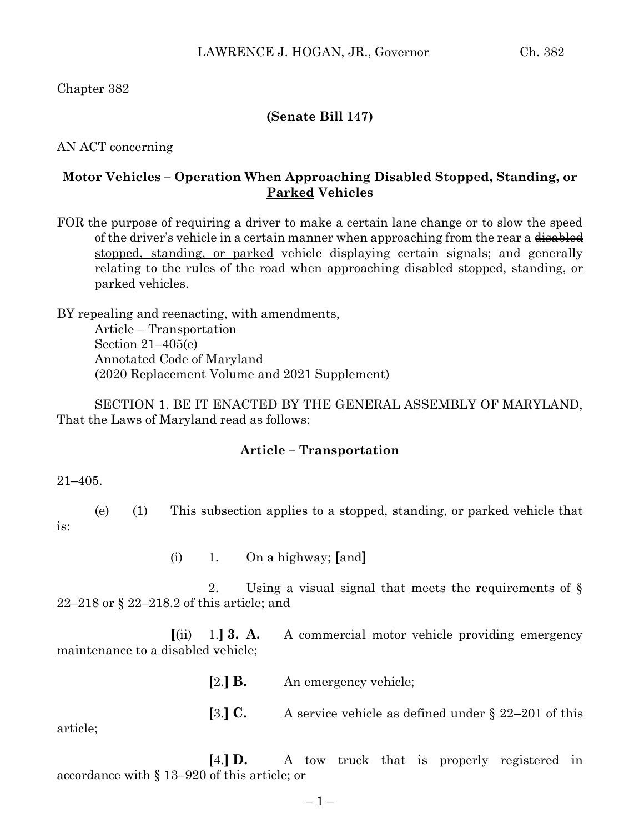Chapter 382

## **(Senate Bill 147)**

AN ACT concerning

## **Motor Vehicles – Operation When Approaching Disabled Stopped, Standing, or Parked Vehicles**

FOR the purpose of requiring a driver to make a certain lane change or to slow the speed of the driver's vehicle in a certain manner when approaching from the rear a disabled stopped, standing, or parked vehicle displaying certain signals; and generally relating to the rules of the road when approaching disabled stopped, standing, or parked vehicles.

BY repealing and reenacting, with amendments, Article – Transportation Section 21–405(e) Annotated Code of Maryland (2020 Replacement Volume and 2021 Supplement)

SECTION 1. BE IT ENACTED BY THE GENERAL ASSEMBLY OF MARYLAND, That the Laws of Maryland read as follows:

#### **Article – Transportation**

21–405.

is:

(e) (1) This subsection applies to a stopped, standing, or parked vehicle that

(i) 1. On a highway; **[**and**]**

2. Using a visual signal that meets the requirements of § 22–218 or § 22–218.2 of this article; and

**[**(ii) 1.**] 3. A.** A commercial motor vehicle providing emergency maintenance to a disabled vehicle;

**[**2.**] B.** An emergency vehicle;

**[**3.**] C.** A service vehicle as defined under § 22–201 of this article;

**[**4.**] D.** A tow truck that is properly registered in accordance with § 13–920 of this article; or